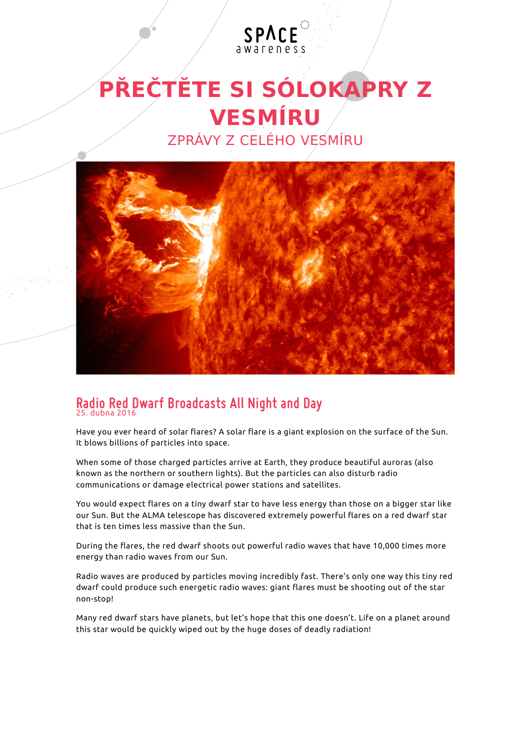

SPACE



## **Radio Red Dwarf Broadcasts All Night and Day** 25. dubna 2016

Have you ever heard of solar flares? A solar flare is a giant explosion on the surface of the Sun. It blows billions of particles into space.

When some of those charged particles arrive at Earth, they produce beautiful auroras (also known as the northern or southern lights). But the particles can also disturb radio communications or damage electrical power stations and satellites.

You would expect flares on a tiny dwarf star to have less energy than those on a bigger star like our Sun. But the ALMA telescope has discovered extremely powerful flares on a red dwarf star that is ten times less massive than the Sun.

During the flares, the red dwarf shoots out powerful radio waves that have 10,000 times more energy than radio waves from our Sun.

Radio waves are produced by particles moving incredibly fast. There's only one way this tiny red dwarf could produce such energetic radio waves: giant flares must be shooting out of the star non-stop!

Many red dwarf stars have planets, but let's hope that this one doesn't. Life on a planet around this star would be quickly wiped out by the huge doses of deadly radiation!